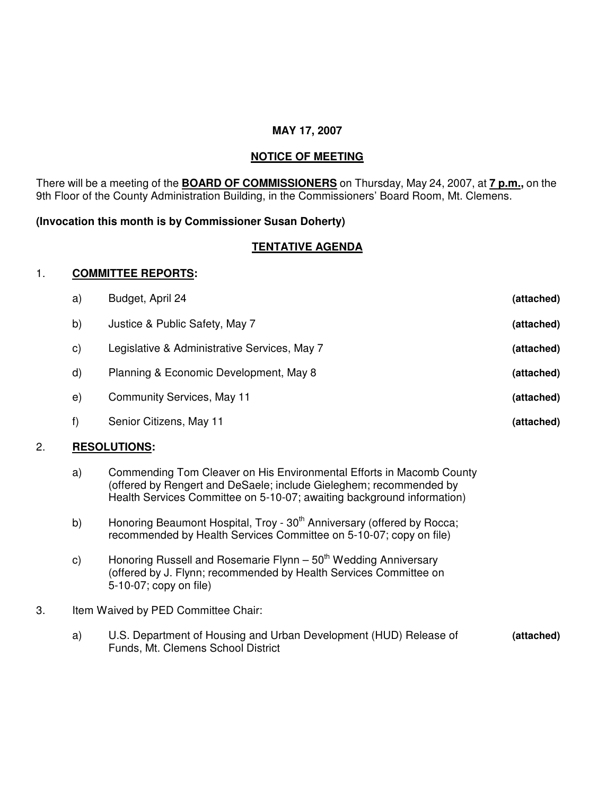### **MAY 17, 2007**

# **NOTICE OF MEETING**

There will be a meeting of the **BOARD OF COMMISSIONERS** on Thursday, May 24, 2007, at **7 p.m.,** on the 9th Floor of the County Administration Building, in the Commissioners' Board Room, Mt. Clemens.

# **(Invocation this month is by Commissioner Susan Doherty)**

# **TENTATIVE AGENDA**

#### 1. **COMMITTEE REPORTS:**

| <b>DECAL LITIANS.</b> |                                              |            |
|-----------------------|----------------------------------------------|------------|
| f)                    | Senior Citizens, May 11                      | (attached) |
| e)                    | Community Services, May 11                   | (attached) |
| $\mathsf{d}$          | Planning & Economic Development, May 8       | (attached) |
| $\mathsf{C}$          | Legislative & Administrative Services, May 7 | (attached) |
| b)                    | Justice & Public Safety, May 7               | (attached) |
| a)                    | Budget, April 24                             | (attached) |

# 2. **RESOLUTIONS:**

- a) Commending Tom Cleaver on His Environmental Efforts in Macomb County (offered by Rengert and DeSaele; include Gieleghem; recommended by Health Services Committee on 5-10-07; awaiting background information)
- b) Honoring Beaumont Hospital, Troy 30<sup>th</sup> Anniversary (offered by Rocca; recommended by Health Services Committee on 5-10-07; copy on file)
- c) Honoring Russell and Rosemarie Flynn 50<sup>th</sup> Wedding Anniversary (offered by J. Flynn; recommended by Health Services Committee on 5-10-07; copy on file)
- 3. Item Waived by PED Committee Chair:
	- a) U.S. Department of Housing and Urban Development (HUD) Release of **(attached)** Funds, Mt. Clemens School District